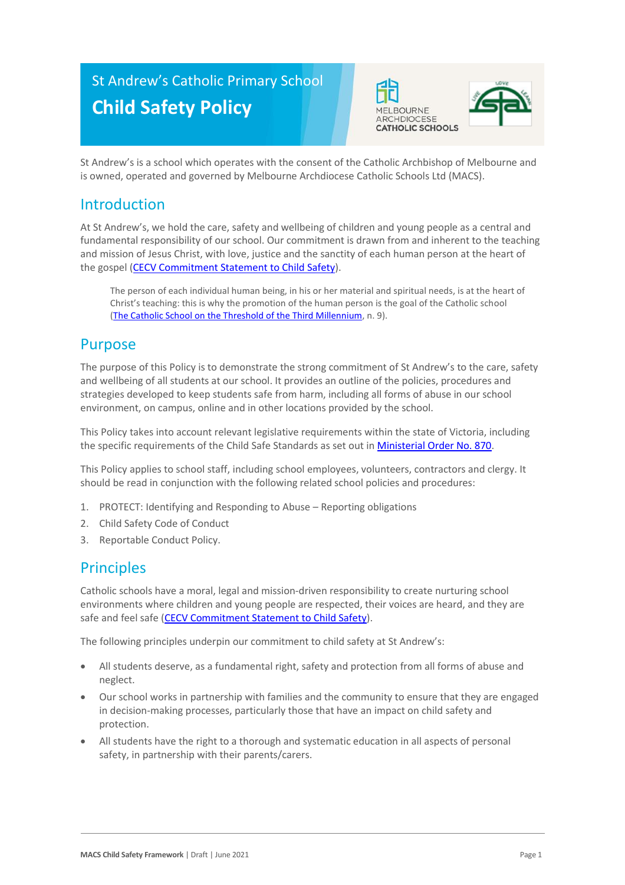# St Andrew's Catholic Primary School **Child Safety Policy**





St Andrew's is a school which operates with the consent of the Catholic Archbishop of Melbourne and is owned, operated and governed by Melbourne Archdiocese Catholic Schools Ltd (MACS).

### Introduction

At St Andrew's, we hold the care, safety and wellbeing of children and young people as a central and fundamental responsibility of our school. Our commitment is drawn from and inherent to the teaching and mission of Jesus Christ, with love, justice and the sanctity of each human person at the heart of the gospel [\(CECV Commitment Statement to Child Safety\)](https://www.cecv.catholic.edu.au/getmedia/b5d43278-51b9-4704-b45a-f14e50546a70/Commitment-Statement-A4.aspx).

The person of each individual human being, in his or her material and spiritual needs, is at the heart of Christ's teaching: this is why the promotion of the human person is the goal of the Catholic school [\(The Catholic School on the Threshold of the Third Millennium,](http://www.vatican.va/roman_curia/congregations/ccatheduc/documents/rc_con_ccatheduc_doc_27041998_school2000_en.html) n. 9).

### Purpose

The purpose of this Policy is to demonstrate the strong commitment of St Andrew's to the care, safety and wellbeing of all students at our school. It provides an outline of the policies, procedures and strategies developed to keep students safe from harm, including all forms of abuse in our school environment, on campus, online and in other locations provided by the school.

This Policy takes into account relevant legislative requirements within the state of Victoria, including the specific requirements of the Child Safe Standards as set out in [Ministerial Order No. 870.](http://www.gazette.vic.gov.au/gazette/Gazettes2016/GG2016S002.pdf)

This Policy applies to school staff, including school employees, volunteers, contractors and clergy. It should be read in conjunction with the following related school policies and procedures:

- 1. PROTECT: Identifying and Responding to Abuse Reporting obligations
- 2. Child Safety Code of Conduct
- 3. Reportable Conduct Policy.

### **Principles**

Catholic schools have a moral, legal and mission-driven responsibility to create nurturing school environments where children and young people are respected, their voices are heard, and they are safe and feel safe [\(CECV Commitment Statement to Child Safety\)](https://www.cecv.catholic.edu.au/getmedia/b5d43278-51b9-4704-b45a-f14e50546a70/Commitment-Statement-A4.aspx).

The following principles underpin our commitment to child safety at St Andrew's:

- All students deserve, as a fundamental right, safety and protection from all forms of abuse and neglect.
- Our school works in partnership with families and the community to ensure that they are engaged in decision-making processes, particularly those that have an impact on child safety and protection.
- All students have the right to a thorough and systematic education in all aspects of personal safety, in partnership with their parents/carers.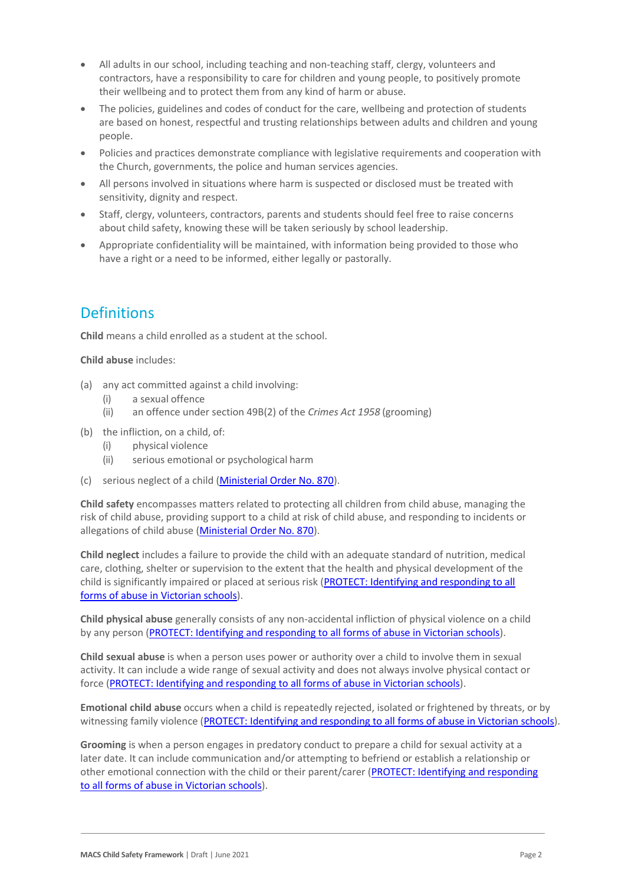- All adults in our school, including teaching and non-teaching staff, clergy, volunteers and contractors, have a responsibility to care for children and young people, to positively promote their wellbeing and to protect them from any kind of harm or abuse.
- The policies, guidelines and codes of conduct for the care, wellbeing and protection of students are based on honest, respectful and trusting relationships between adults and children and young people.
- Policies and practices demonstrate compliance with legislative requirements and cooperation with the Church, governments, the police and human services agencies.
- All persons involved in situations where harm is suspected or disclosed must be treated with sensitivity, dignity and respect.
- Staff, clergy, volunteers, contractors, parents and students should feel free to raise concerns about child safety, knowing these will be taken seriously by school leadership.
- Appropriate confidentiality will be maintained, with information being provided to those who have a right or a need to be informed, either legally or pastorally.

# **Definitions**

**Child** means a child enrolled as a student at the school.

**Child abuse** includes:

- (a) any act committed against a child involving:
	- (i) a sexual offence
	- (ii) an offence under section 49B(2) of the *Crimes Act 1958* (grooming)
- (b) the infliction, on a child, of:
	- (i) physical violence
	- (ii) serious emotional or psychological harm
- (c) serious neglect of a child [\(Ministerial Order No. 870\)](http://www.gazette.vic.gov.au/gazette/Gazettes2016/GG2016S002.pdf).

**Child safety** encompasses matters related to protecting all children from child abuse, managing the risk of child abuse, providing support to a child at risk of child abuse, and responding to incidents or allegations of child abuse [\(Ministerial Order No. 870\)](http://www.gazette.vic.gov.au/gazette/Gazettes2016/GG2016S002.pdf).

**Child neglect** includes a failure to provide the child with an adequate standard of nutrition, medical care, clothing, shelter or supervision to the extent that the health and physical development of the child is significantly impaired or placed at serious risk [\(PROTECT: Identifying and responding to all](http://www.cecv.catholic.edu.au/getmedia/ebe135a4-d1b3-48a0-81fe-50d4fc451bcd/Identifying-and-Responding-to-All-Forms-of-Abuse.aspx#page%3D27)  [forms of abuse in Victorian schools\)](http://www.cecv.catholic.edu.au/getmedia/ebe135a4-d1b3-48a0-81fe-50d4fc451bcd/Identifying-and-Responding-to-All-Forms-of-Abuse.aspx#page%3D27).

**Child physical abuse** generally consists of any non-accidental infliction of physical violence on a child by any person [\(PROTECT: Identifying and responding to all forms of abuse in Victorian schools\)](https://www.cecv.catholic.edu.au/getmedia/ebe135a4-d1b3-48a0-81fe-50d4fc451bcd/Identifying-and-Responding-to-All-Forms-of-Abuse.aspx#page%3D15).

**Child sexual abuse** is when a person uses power or authority over a child to involve them in sexual activity. It can include a wide range of sexual activity and does not always involve physical contact or force [\(PROTECT: Identifying and responding to](https://www.cecv.catholic.edu.au/getmedia/ebe135a4-d1b3-48a0-81fe-50d4fc451bcd/Identifying-and-Responding-to-All-Forms-of-Abuse.aspx#page%3D17) all forms of abuse in Victorian schools).

**Emotional child abuse** occurs when a child is repeatedly rejected, isolated or frightened by threats, or by witnessing family violence [\(PROTECT: Identifying and responding to all forms of abuse in Victorian schools\)](https://www.cecv.catholic.edu.au/getmedia/ebe135a4-d1b3-48a0-81fe-50d4fc451bcd/Identifying-and-Responding-to-All-Forms-of-Abuse.aspx#page%3D26).

**Grooming** is when a person engages in predatory conduct to prepare a child for sexual activity at a later date. It can include communication and/or attempting to befriend or establish a relationship or other emotional connection with the child or their parent/carer [\(PROTECT: Identifying and responding](https://www.cecv.catholic.edu.au/getmedia/ebe135a4-d1b3-48a0-81fe-50d4fc451bcd/Identifying-and-Responding-to-All-Forms-of-Abuse.aspx#page%3D20)  [to all forms of abuse in Victorian schools\)](https://www.cecv.catholic.edu.au/getmedia/ebe135a4-d1b3-48a0-81fe-50d4fc451bcd/Identifying-and-Responding-to-All-Forms-of-Abuse.aspx#page%3D20).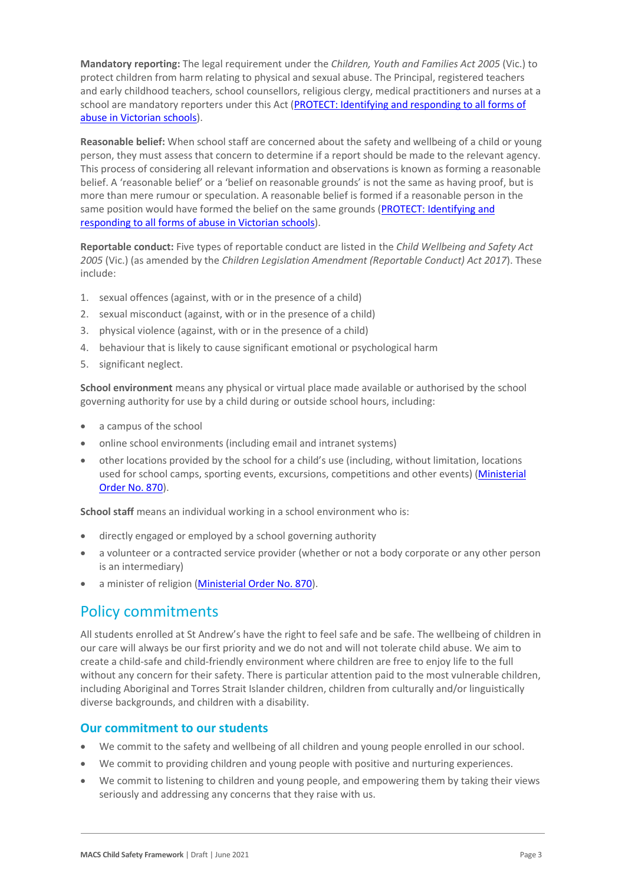**Mandatory reporting:** The legal requirement under the *Children, Youth and Families Act 2005* (Vic.) to protect children from harm relating to physical and sexual abuse. The Principal, registered teachers and early childhood teachers, school counsellors, religious clergy, medical practitioners and nurses at a school are mandatory reporters under this Act (PROTECT: Identifying and responding to all forms of [abuse in Victorian schools\)](http://www.cecv.catholic.edu.au/getmedia/ebe135a4-d1b3-48a0-81fe-50d4fc451bcd/Identifying-and-Responding-to-All-Forms-of-Abuse.aspx#page%3D8).

**Reasonable belief:** When school staff are concerned about the safety and wellbeing of a child or young person, they must assess that concern to determine if a report should be made to the relevant agency. This process of considering all relevant information and observations is known as forming a reasonable belief. A 'reasonable belief' or a 'belief on reasonable grounds' is not the same as having proof, but is more than mere rumour or speculation. A reasonable belief is formed if a reasonable person in the same position would have formed the belief on the same grounds [\(PROTECT: Identifying and](http://www.cecv.catholic.edu.au/getmedia/ebe135a4-d1b3-48a0-81fe-50d4fc451bcd/Identifying-and-Responding-to-All-Forms-of-Abuse.aspx#page%3D35)  [responding to all forms of abuse in Victorian schools\)](http://www.cecv.catholic.edu.au/getmedia/ebe135a4-d1b3-48a0-81fe-50d4fc451bcd/Identifying-and-Responding-to-All-Forms-of-Abuse.aspx#page%3D35).

**Reportable conduct:** Five types of reportable conduct are listed in the *Child Wellbeing and Safety Act 2005* (Vic.) (as amended by the *Children Legislation Amendment (Reportable Conduct) Act 2017*). These include:

- 1. sexual offences (against, with or in the presence of a child)
- 2. sexual misconduct (against, with or in the presence of a child)
- 3. physical violence (against, with or in the presence of a child)
- 4. behaviour that is likely to cause significant emotional or psychological harm
- 5. significant neglect.

**School environment** means any physical or virtual place made available or authorised by the school governing authority for use by a child during or outside school hours, including:

- a campus of the school
- online school environments (including email and intranet systems)
- other locations provided by the school for a child's use (including, without limitation, locations used for school camps, sporting events, excursions, competitions and other events) (Ministerial [Order No. 870\)](http://www.gazette.vic.gov.au/gazette/Gazettes2016/GG2016S002.pdf).

**School staff** means an individual working in a school environment who is:

- directly engaged or employed by a school governing authority
- a volunteer or a contracted service provider (whether or not a body corporate or any other person is an intermediary)
- a minister of religion [\(Ministerial Order No. 870\)](http://www.gazette.vic.gov.au/gazette/Gazettes2016/GG2016S002.pdf).

### Policy commitments

All students enrolled at St Andrew's have the right to feel safe and be safe. The wellbeing of children in our care will always be our first priority and we do not and will not tolerate child abuse. We aim to create a child-safe and child-friendly environment where children are free to enjoy life to the full without any concern for their safety. There is particular attention paid to the most vulnerable children, including Aboriginal and Torres Strait Islander children, children from culturally and/or linguistically diverse backgrounds, and children with a disability.

#### **Our commitment to our students**

- We commit to the safety and wellbeing of all children and young people enrolled in our school.
- We commit to providing children and young people with positive and nurturing experiences.
- We commit to listening to children and young people, and empowering them by taking their views seriously and addressing any concerns that they raise with us.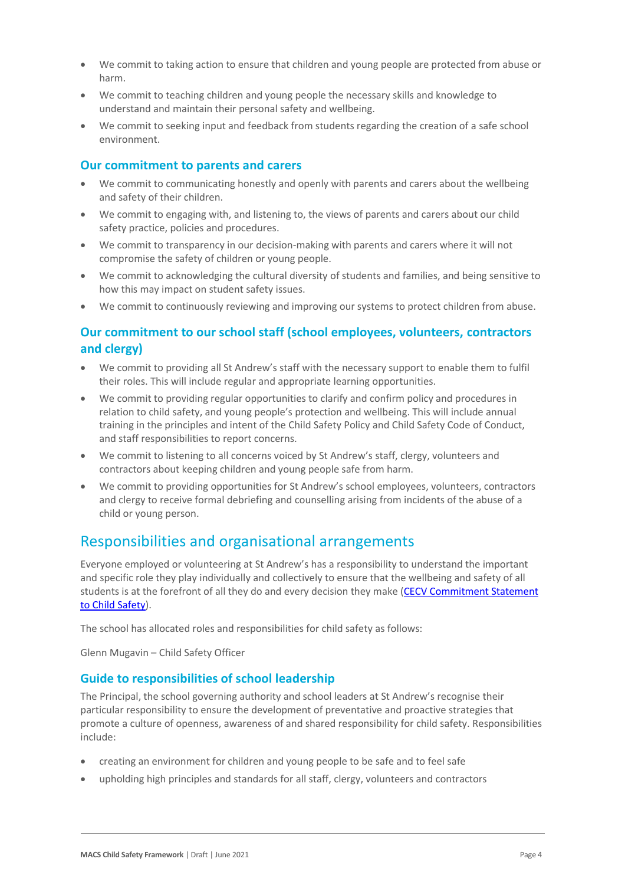- We commit to taking action to ensure that children and young people are protected from abuse or harm.
- We commit to teaching children and young people the necessary skills and knowledge to understand and maintain their personal safety and wellbeing.
- We commit to seeking input and feedback from students regarding the creation of a safe school environment.

#### **Our commitment to parents and carers**

- We commit to communicating honestly and openly with parents and carers about the wellbeing and safety of their children.
- We commit to engaging with, and listening to, the views of parents and carers about our child safety practice, policies and procedures.
- We commit to transparency in our decision-making with parents and carers where it will not compromise the safety of children or young people.
- We commit to acknowledging the cultural diversity of students and families, and being sensitive to how this may impact on student safety issues.
- We commit to continuously reviewing and improving our systems to protect children from abuse.

#### **Our commitment to our school staff (school employees, volunteers, contractors and clergy)**

- We commit to providing all St Andrew's staff with the necessary support to enable them to fulfil their roles. This will include regular and appropriate learning opportunities.
- We commit to providing regular opportunities to clarify and confirm policy and procedures in relation to child safety, and young people's protection and wellbeing. This will include annual training in the principles and intent of the Child Safety Policy and Child Safety Code of Conduct, and staff responsibilities to report concerns.
- We commit to listening to all concerns voiced by St Andrew's staff, clergy, volunteers and contractors about keeping children and young people safe from harm.
- We commit to providing opportunities for St Andrew's school employees, volunteers, contractors and clergy to receive formal debriefing and counselling arising from incidents of the abuse of a child or young person.

### Responsibilities and organisational arrangements

Everyone employed or volunteering at St Andrew's has a responsibility to understand the important and specific role they play individually and collectively to ensure that the wellbeing and safety of all students is at the forefront of all they do and every decision they make (CECV Commitment Statement [to Child Safety\)](https://www.cecv.catholic.edu.au/getmedia/b5d43278-51b9-4704-b45a-f14e50546a70/Commitment-Statement-A4.aspx).

The school has allocated roles and responsibilities for child safety as follows:

Glenn Mugavin – Child Safety Officer

#### **Guide to responsibilities of school leadership**

The Principal, the school governing authority and school leaders at St Andrew's recognise their particular responsibility to ensure the development of preventative and proactive strategies that promote a culture of openness, awareness of and shared responsibility for child safety. Responsibilities include:

- creating an environment for children and young people to be safe and to feel safe
- upholding high principles and standards for all staff, clergy, volunteers and contractors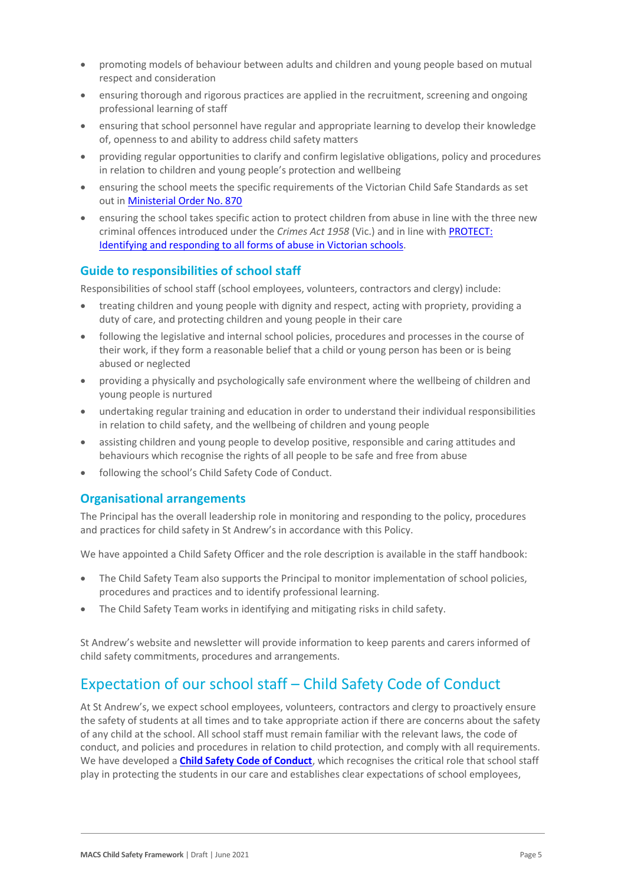- promoting models of behaviour between adults and children and young people based on mutual respect and consideration
- ensuring thorough and rigorous practices are applied in the recruitment, screening and ongoing professional learning of staff
- ensuring that school personnel have regular and appropriate learning to develop their knowledge of, openness to and ability to address child safety matters
- providing regular opportunities to clarify and confirm legislative obligations, policy and procedures in relation to children and young people's protection and wellbeing
- ensuring the school meets the specific requirements of the Victorian Child Safe Standards as set out i[n Ministerial Order No. 870](http://www.gazette.vic.gov.au/gazette/Gazettes2016/GG2016S002.pdf)
- ensuring the school takes specific action to protect children from abuse in line with the three new criminal offences introduced under the *Crimes Act 1958* (Vic.) and in line with [PROTECT:](http://www.cecv.catholic.edu.au/getmedia/ebe135a4-d1b3-48a0-81fe-50d4fc451bcd/Identifying-and-Responding-to-All-Forms-of-Abuse.aspx)  [Identifying and responding to all forms of abuse in Victorian schools.](http://www.cecv.catholic.edu.au/getmedia/ebe135a4-d1b3-48a0-81fe-50d4fc451bcd/Identifying-and-Responding-to-All-Forms-of-Abuse.aspx)

#### **Guide to responsibilities of school staff**

Responsibilities of school staff (school employees, volunteers, contractors and clergy) include:

- treating children and young people with dignity and respect, acting with propriety, providing a duty of care, and protecting children and young people in their care
- following the legislative and internal school policies, procedures and processes in the course of their work, if they form a reasonable belief that a child or young person has been or is being abused or neglected
- providing a physically and psychologically safe environment where the wellbeing of children and young people is nurtured
- undertaking regular training and education in order to understand their individual responsibilities in relation to child safety, and the wellbeing of children and young people
- assisting children and young people to develop positive, responsible and caring attitudes and behaviours which recognise the rights of all people to be safe and free from abuse
- following the school's Child Safety Code of Conduct.

#### **Organisational arrangements**

The Principal has the overall leadership role in monitoring and responding to the policy, procedures and practices for child safety in St Andrew's in accordance with this Policy.

We have appointed a Child Safety Officer and the role description is available in the staff handbook:

- The Child Safety Team also supports the Principal to monitor implementation of school policies, procedures and practices and to identify professional learning.
- The Child Safety Team works in identifying and mitigating risks in child safety.

St Andrew's website and newsletter will provide information to keep parents and carers informed of child safety commitments, procedures and arrangements.

# Expectation of our school staff – Child Safety Code of Conduct

At St Andrew's, we expect school employees, volunteers, contractors and clergy to proactively ensure the safety of students at all times and to take appropriate action if there are concerns about the safety of any child at the school. All school staff must remain familiar with the relevant laws, the code of conduct, and policies and procedures in relation to child protection, and comply with all requirements. We have developed a **[Child Safety Code of Conduct](MACS-Child_Safety_Code_of_Conduct-Template-Draft.docx)**, which recognises the critical role that school staff play in protecting the students in our care and establishes clear expectations of school employees,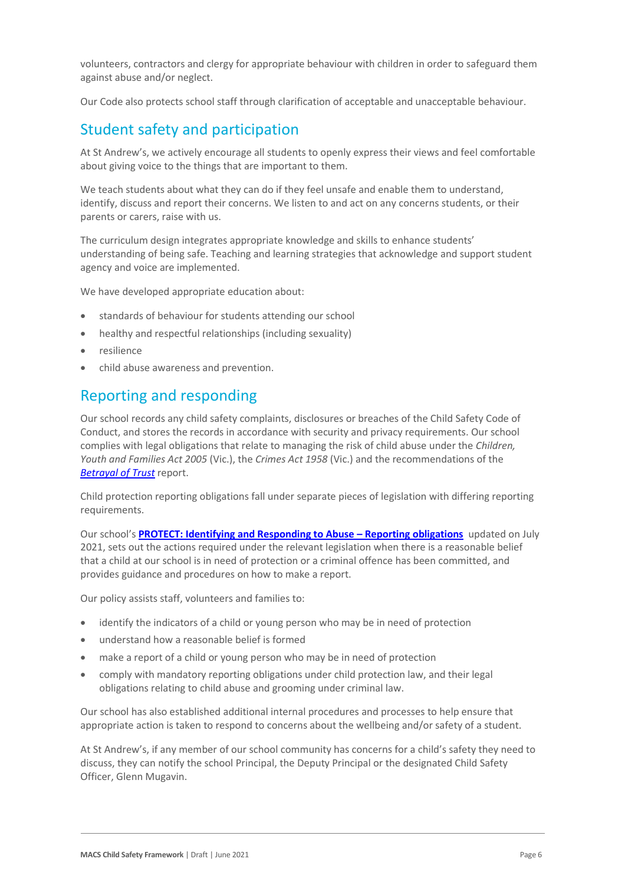volunteers, contractors and clergy for appropriate behaviour with children in order to safeguard them against abuse and/or neglect.

Our Code also protects school staff through clarification of acceptable and unacceptable behaviour.

### Student safety and participation

At St Andrew's, we actively encourage all students to openly express their views and feel comfortable about giving voice to the things that are important to them.

We teach students about what they can do if they feel unsafe and enable them to understand, identify, discuss and report their concerns. We listen to and act on any concerns students, or their parents or carers, raise with us.

The curriculum design integrates appropriate knowledge and skills to enhance students' understanding of being safe. Teaching and learning strategies that acknowledge and support student agency and voice are implemented.

We have developed appropriate education about:

- standards of behaviour for students attending our school
- healthy and respectful relationships (including sexuality)
- resilience
- child abuse awareness and prevention.

### Reporting and responding

Our school records any child safety complaints, disclosures or breaches of the Child Safety Code of Conduct, and stores the records in accordance with security and privacy requirements. Our school complies with legal obligations that relate to managing the risk of child abuse under the *Children, Youth and Families Act 2005* (Vic.), the *Crimes Act 1958* (Vic.) and the recommendations of the *[Betrayal of Trust](http://www.parliament.vic.gov.au/fcdc/article/1788)* report.

Child protection reporting obligations fall under separate pieces of legislation with differing reporting requirements.

Our school's **[PROTECT: Identifying and Responding to Abuse](MACS-PROTECT_Identifying_and_Responding_to_Abuse_Reporting_Obligations-Template-Draft.docx) – Reporting obligations** updated on July 2021, sets out the actions required under the relevant legislation when there is a reasonable belief that a child at our school is in need of protection or a criminal offence has been committed, and provides guidance and procedures on how to make a report.

Our policy assists staff, volunteers and families to:

- identify the indicators of a child or young person who may be in need of protection
- understand how a reasonable belief is formed
- make a report of a child or young person who may be in need of protection
- comply with mandatory reporting obligations under child protection law, and their legal obligations relating to child abuse and grooming under criminal law.

Our school has also established additional internal procedures and processes to help ensure that appropriate action is taken to respond to concerns about the wellbeing and/or safety of a student.

At St Andrew's, if any member of our school community has concerns for a child's safety they need to discuss, they can notify the school Principal, the Deputy Principal or the designated Child Safety Officer, Glenn Mugavin.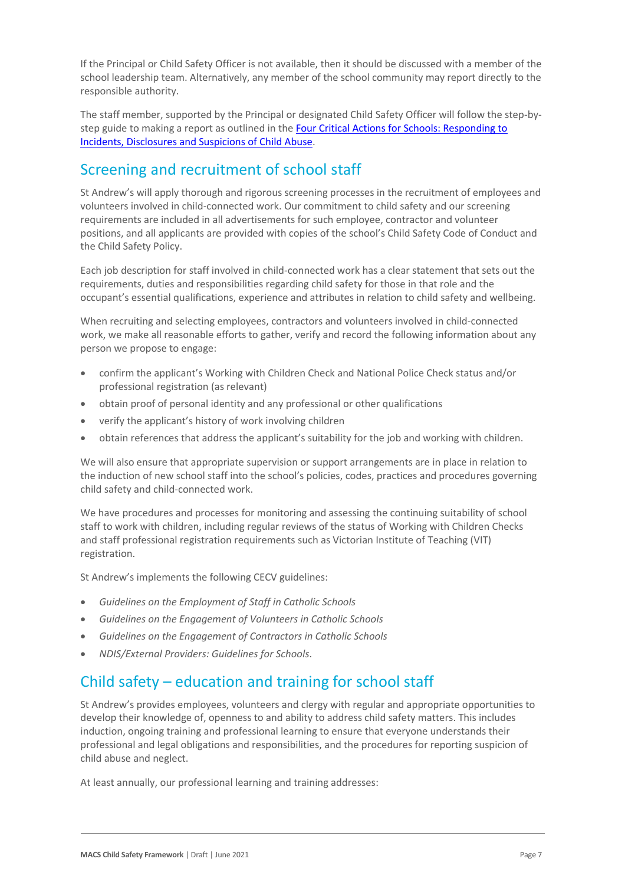If the Principal or Child Safety Officer is not available, then it should be discussed with a member of the school leadership team. Alternatively, any member of the school community may report directly to the responsible authority.

The staff member, supported by the Principal or designated Child Safety Officer will follow the step-bystep guide to making a report as outlined in the Four Critical Actions for Schools: Responding to [Incidents, Disclosures and Suspicions of Child Abuse.](https://www.education.vic.gov.au/Documents/about/programs/health/protect/FourCriticalActions_ChildAbuse.pdf)

# Screening and recruitment of school staff

St Andrew's will apply thorough and rigorous screening processes in the recruitment of employees and volunteers involved in child-connected work. Our commitment to child safety and our screening requirements are included in all advertisements for such employee, contractor and volunteer positions, and all applicants are provided with copies of the school's Child Safety Code of Conduct and the Child Safety Policy.

Each job description for staff involved in child-connected work has a clear statement that sets out the requirements, duties and responsibilities regarding child safety for those in that role and the occupant's essential qualifications, experience and attributes in relation to child safety and wellbeing.

When recruiting and selecting employees, contractors and volunteers involved in child-connected work, we make all reasonable efforts to gather, verify and record the following information about any person we propose to engage:

- confirm the applicant's Working with Children Check and National Police Check status and/or professional registration (as relevant)
- obtain proof of personal identity and any professional or other qualifications
- verify the applicant's history of work involving children
- obtain references that address the applicant's suitability for the job and working with children.

We will also ensure that appropriate supervision or support arrangements are in place in relation to the induction of new school staff into the school's policies, codes, practices and procedures governing child safety and child-connected work.

We have procedures and processes for monitoring and assessing the continuing suitability of school staff to work with children, including regular reviews of the status of Working with Children Checks and staff professional registration requirements such as Victorian Institute of Teaching (VIT) registration.

St Andrew's implements the following CECV guidelines:

- *Guidelines on the Employment of Staff in Catholic Schools*
- *Guidelines on the Engagement of Volunteers in Catholic Schools*
- *Guidelines on the Engagement of Contractors in Catholic Schools*
- *NDIS/External Providers: Guidelines for Schools*.

# Child safety – education and training for school staff

St Andrew's provides employees, volunteers and clergy with regular and appropriate opportunities to develop their knowledge of, openness to and ability to address child safety matters. This includes induction, ongoing training and professional learning to ensure that everyone understands their professional and legal obligations and responsibilities, and the procedures for reporting suspicion of child abuse and neglect.

At least annually, our professional learning and training addresses: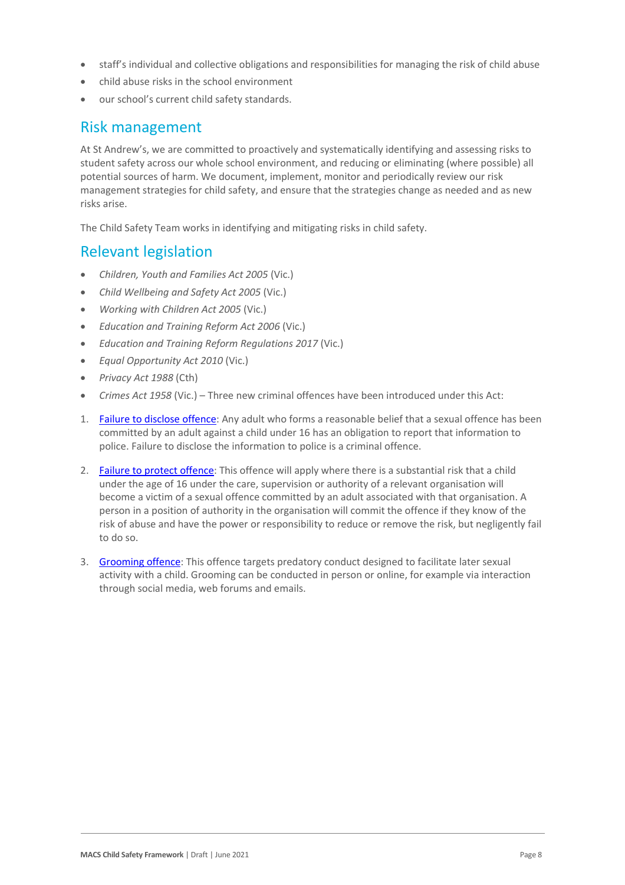- staff's individual and collective obligations and responsibilities for managing the risk of child abuse
- child abuse risks in the school environment
- our school's current child safety standards.

#### Risk management

At St Andrew's, we are committed to proactively and systematically identifying and assessing risks to student safety across our whole school environment, and reducing or eliminating (where possible) all potential sources of harm. We document, implement, monitor and periodically review our risk management strategies for child safety, and ensure that the strategies change as needed and as new risks arise.

The Child Safety Team works in identifying and mitigating risks in child safety.

#### Relevant legislation

- *Children, Youth and Families Act 2005* (Vic.)
- *Child Wellbeing and Safety Act 2005* (Vic.)
- *Working with Children Act 2005* (Vic.)
- *Education and Training Reform Act 2006* (Vic.)
- *Education and Training Reform Regulations 2017* (Vic.)
- *Equal Opportunity Act 2010* (Vic.)
- *Privacy Act 1988* (Cth)
- *Crimes Act 1958* (Vic.) Three new criminal offences have been introduced under this Act:
- 1. [Failure to disclose offence:](https://www.justice.vic.gov.au/safer-communities/protecting-children-and-families/failure-to-disclose-offence#%3A~%3Atext%3DIn%202014%2C%20the%20law%20in%20Victoria%20was%20changed%2Coffended%20against%20a%20child%20under%2016%20in%20Victoria) Any adult who forms a reasonable belief that a sexual offence has been committed by an adult against a child under 16 has an obligation to report that information to police. Failure to disclose the information to police is a criminal offence.
- 2. [Failure to protect offence:](https://www.justice.vic.gov.au/safer-communities/protecting-children-and-families/failure-to-protect-a-new-criminal-offence-to#%3A~%3Atext%3DFailure%20to%20protect%3A%20a%20new%20criminal%20offence%20to%2Cfrom%20sexual%20abuse%20and%20exposure%20to%20sexual%20offenders) This offence will apply where there is a substantial risk that a child under the age of 16 under the care, supervision or authority of a relevant organisation will become a victim of a sexual offence committed by an adult associated with that organisation. A person in a position of authority in the organisation will commit the offence if they know of the risk of abuse and have the power or responsibility to reduce or remove the risk, but negligently fail to do so.
- 3. [Grooming offence:](https://www.justice.vic.gov.au/safer-communities/protecting-children-and-families/grooming-offence) This offence targets predatory conduct designed to facilitate later sexual activity with a child. Grooming can be conducted in person or online, for example via interaction through social media, web forums and emails.